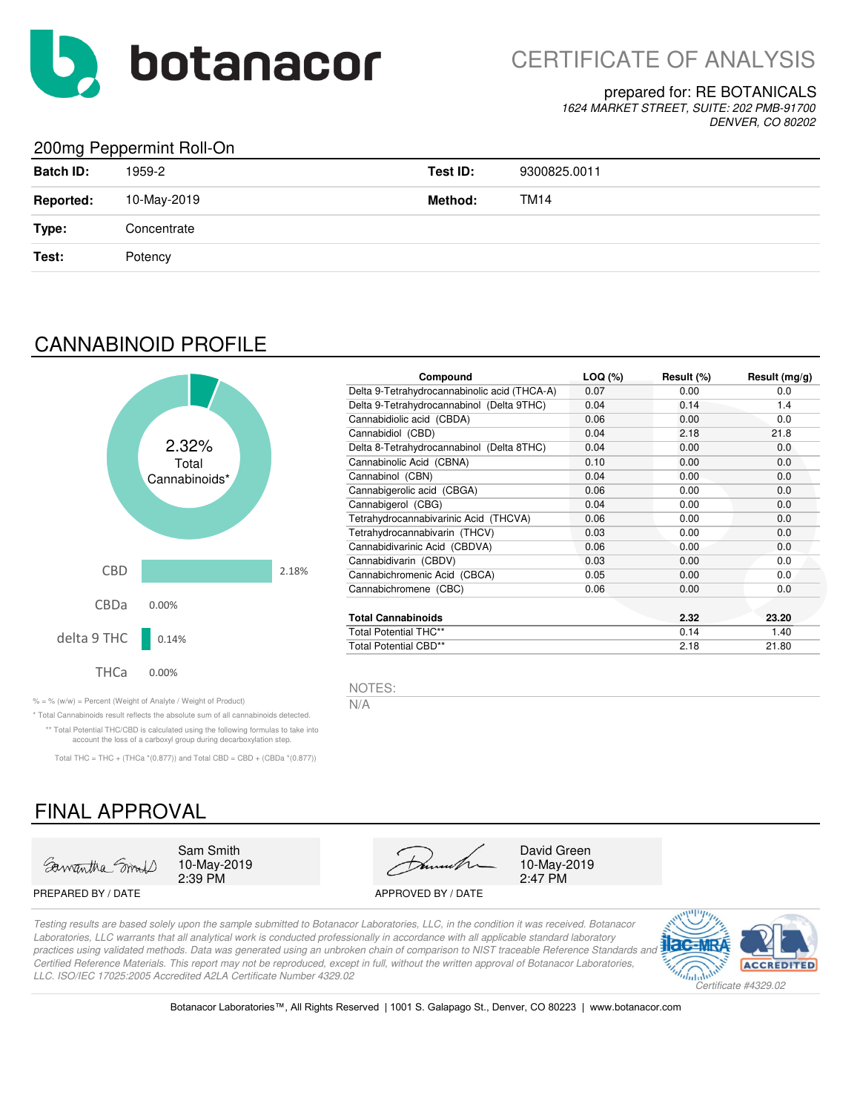

#### prepared for: RE BOTANICALS

*1624 MARKET STREET, SUITE: 202 PMB-91700 DENVER, CO 80202*

### 200mg Peppermint Roll-On

| $\sim$ $\sim$ $\sim$ $\sim$ $\sim$<br><b>Batch ID:</b> | 1959-2      | Test ID: | 9300825.0011 |
|--------------------------------------------------------|-------------|----------|--------------|
| <b>Reported:</b>                                       | 10-May-2019 | Method:  | TM14         |
| Type:                                                  | Concentrate |          |              |
| Test:                                                  | Potency     |          |              |
|                                                        |             |          |              |

## CANNABINOID PROFILE



| Compound                                     | $LOQ (\%)$ | Result (%) | Result $(mg/g)$ |
|----------------------------------------------|------------|------------|-----------------|
| Delta 9-Tetrahydrocannabinolic acid (THCA-A) | 0.07       | 0.00       | 0.0             |
| Delta 9-Tetrahydrocannabinol (Delta 9THC)    | 0.04       | 0.14       | 1.4             |
| Cannabidiolic acid (CBDA)                    | 0.06       | 0.00       | 0.0             |
| Cannabidiol (CBD)                            | 0.04       | 2.18       | 21.8            |
| Delta 8-Tetrahydrocannabinol (Delta 8THC)    | 0.04       | 0.00       | 0.0             |
| Cannabinolic Acid (CBNA)                     | 0.10       | 0.00       | 0.0             |
| Cannabinol (CBN)                             | 0.04       | 0.00       | 0.0             |
| Cannabigerolic acid (CBGA)                   | 0.06       | 0.00       | 0.0             |
| Cannabigerol (CBG)                           | 0.04       | 0.00       | 0.0             |
| Tetrahydrocannabivarinic Acid (THCVA)        | 0.06       | 0.00       | 0.0             |
| Tetrahydrocannabivarin (THCV)                | 0.03       | 0.00       | 0.0             |
| Cannabidivarinic Acid (CBDVA)                | 0.06       | 0.00       | 0.0             |
| Cannabidivarin (CBDV)                        | 0.03       | 0.00       | 0.0             |
| Cannabichromenic Acid (CBCA)                 | 0.05       | 0.00       | 0.0             |
| Cannabichromene (CBC)                        | 0.06       | 0.00       | 0.0             |
| <b>Total Cannabinoids</b>                    |            | 2.32       | 23.20           |
| <b>Total Potential THC**</b>                 |            | 0.14       | 1.40            |
| <b>Total Potential CBD**</b>                 |            | 2.18       | 21.80           |

NOTES:

% = % (w/w) = Percent (Weight of Analyte / Weight of Product)  $N/A$ 

\* Total Cannabinoids result reflects the absolute sum of all cannabinoids detected. \*\* Total Potential THC/CBD is calculated using the following formulas to take into account the loss of a carboxyl group during decarboxylation step.

Total THC = THC + (THCa  $*(0.877)$ ) and Total CBD = CBD + (CBDa  $*(0.877)$ )

# FINAL APPROVAL



10-May-2019

PREPARED BY / DATE APPROVED BY / DATE

2:39 PM 2:47 PM Sam Smith David Green

10-May-2019

*Testing results are based solely upon the sample submitted to Botanacor Laboratories, LLC, in the condition it was received. Botanacor Laboratories, LLC warrants that all analytical work is conducted professionally in accordance with all applicable standard laboratory practices using validated methods. Data was generated using an unbroken chain of comparison to NIST traceable Reference Standards and Certified Reference Materials. This report may not be reproduced, except in full, without the written approval of Botanacor Laboratories, LLC. ISO/IEC 17025:2005 Accredited A2LA Certificate Number 4329.02*



Botanacor Laboratories™, All Rights Reserved | 1001 S. Galapago St., Denver, CO 80223 | www.botanacor.com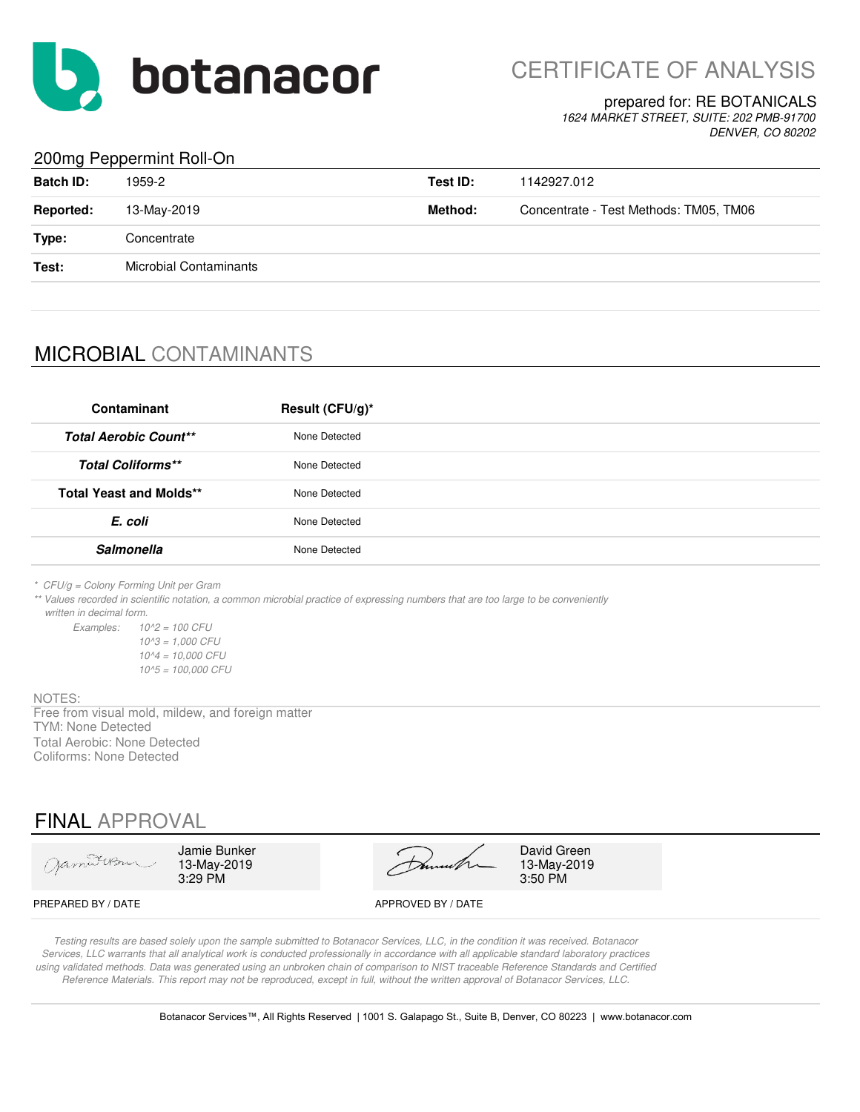

CERTIFICATE OF ANALYSIS

#### prepared for: RE BOTANICALS

*1624 MARKET STREET, SUITE: 202 PMB-91700 DENVER, CO 80202*

### 200mg Peppermint Roll-On

| <b>Batch ID:</b> | 1959-2                        | Test ID: | 1142927.012                            |
|------------------|-------------------------------|----------|----------------------------------------|
| <b>Reported:</b> | 13-May-2019                   | Method:  | Concentrate - Test Methods: TM05, TM06 |
| Type:            | Concentrate                   |          |                                        |
| Test:            | <b>Microbial Contaminants</b> |          |                                        |
|                  |                               |          |                                        |

# MICROBIAL CONTAMINANTS

| Contaminant                    | Result (CFU/g)* |
|--------------------------------|-----------------|
| <b>Total Aerobic Count**</b>   | None Detected   |
| <b>Total Coliforms**</b>       | None Detected   |
| <b>Total Yeast and Molds**</b> | None Detected   |
| E. coli                        | None Detected   |
| <b>Salmonella</b>              | None Detected   |
|                                |                 |

*\* CFU/g = Colony Forming Unit per Gram*

*\*\* Values recorded in scientific notation, a common microbial practice of expressing numbers that are too large to be conveniently written in decimal form.*

*Examples: 10^2 = 100 CFU 10^3 = 1,000 CFU 10^4 = 10,000 CFU 10^5 = 100,000 CFU*

#### NOTES:

TYM: None Detected Total Aerobic: None Detected Coliforms: None Detected Free from visual mold, mildew, and foreign matter

## FINAL APPROVAL

| Jamitersu          | Jamie Bunker<br>13-May-2019<br>$3:29$ PM | Dunneth            | David Green<br>13-May-2019<br>3:50 PM |
|--------------------|------------------------------------------|--------------------|---------------------------------------|
| PREPARED BY / DATE |                                          | APPROVED BY / DATE |                                       |

*Testing results are based solely upon the sample submitted to Botanacor Services, LLC, in the condition it was received. Botanacor Services, LLC warrants that all analytical work is conducted professionally in accordance with all applicable standard laboratory practices using validated methods. Data was generated using an unbroken chain of comparison to NIST traceable Reference Standards and Certified Reference Materials. This report may not be reproduced, except in full, without the written approval of Botanacor Services, LLC.*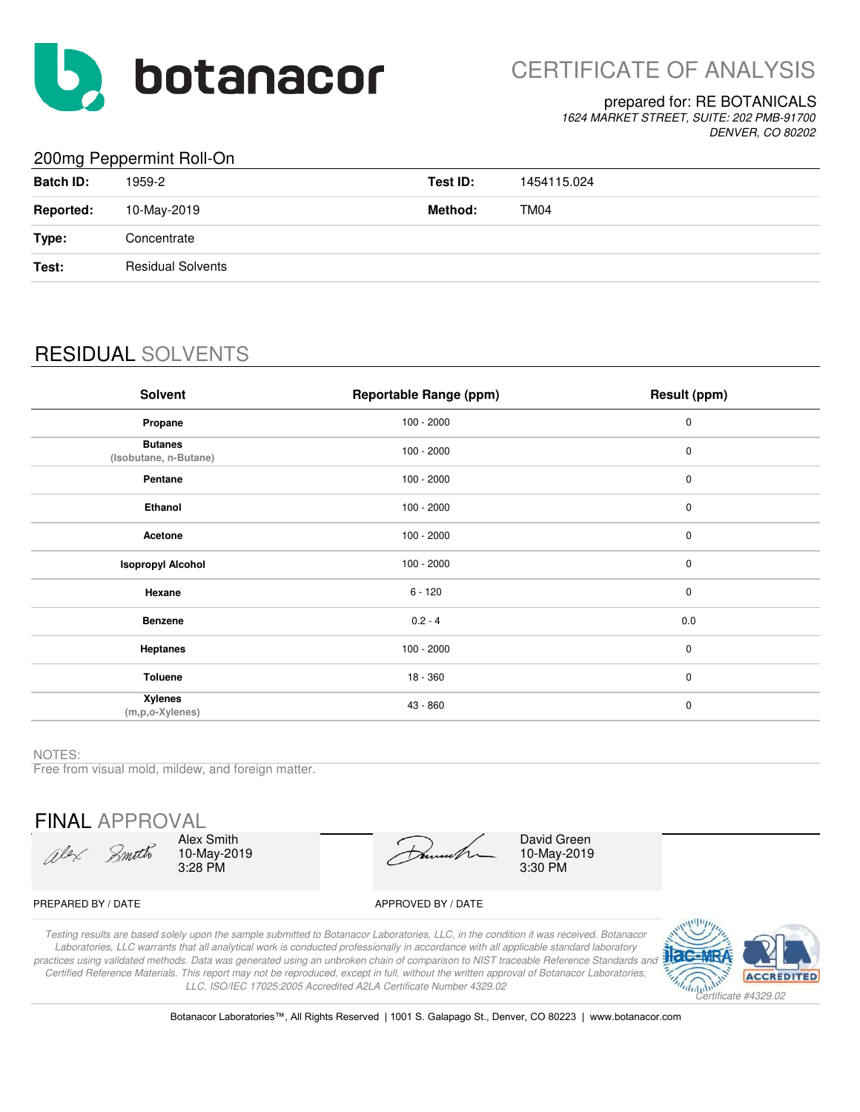

#### prepared for: RE BOTANICALS

*1624 MARKET STREET, SUITE: 202 PMB-91700 DENVER, CO 80202*

### 200mg Peppermint Roll-On

| <b>Batch ID:</b> | 1959-2                   | Test ID: | 1454115.024 |
|------------------|--------------------------|----------|-------------|
| <b>Reported:</b> | 10-May-2019              | Method:  | TM04        |
| Type:            | Concentrate              |          |             |
| Test:            | <b>Residual Solvents</b> |          |             |
|                  |                          |          |             |

# RESIDUAL SOLVENTS

| Solvent                                 | <b>Reportable Range (ppm)</b> | Result (ppm) |
|-----------------------------------------|-------------------------------|--------------|
| Propane                                 | $100 - 2000$                  | $\pmb{0}$    |
| <b>Butanes</b><br>(Isobutane, n-Butane) | $100 - 2000$                  | $\pmb{0}$    |
| Pentane                                 | $100 - 2000$                  | $\pmb{0}$    |
| Ethanol                                 | $100 - 2000$                  | $\pmb{0}$    |
| Acetone                                 | $100 - 2000$                  | $\pmb{0}$    |
| <b>Isopropyl Alcohol</b>                | $100 - 2000$                  | $\pmb{0}$    |
| Hexane                                  | $6 - 120$                     | $\mathbf 0$  |
| <b>Benzene</b>                          | $0.2 - 4$                     | 0.0          |
| <b>Heptanes</b>                         | $100 - 2000$                  | $\mathbf 0$  |
| <b>Toluene</b>                          | 18 - 360                      | $\mathbf 0$  |
| <b>Xylenes</b><br>$(m, p, o$ -Xylenes)  | 43 - 860                      | $\pmb{0}$    |

#### NOTES:

Free from visual mold, mildew, and foreign matter.

FINAL APPROVAL

Olex Smith

Alex Smith 10-May-2019 3:28 PM

10-May-2019 3:30 PM David Green

#### PREPARED BY / DATE APPROVED BY / DATE

*Testing results are based solely upon the sample submitted to Botanacor Laboratories, LLC, in the condition it was received. Botanacor Laboratories, LLC warrants that all analytical work is conducted professionally in accordance with all applicable standard laboratory practices using validated methods. Data was generated using an unbroken chain of comparison to NIST traceable Reference Standards and Certified Reference Materials. This report may not be reproduced, except in full, without the written approval of Botanacor Laboratories, LLC. ISO/IEC 17025:2005 Accredited A2LA Certificate Number 4329.02*



Botanacor Laboratories™, All Rights Reserved | 1001 S. Galapago St., Denver, CO 80223 | www.botanacor.com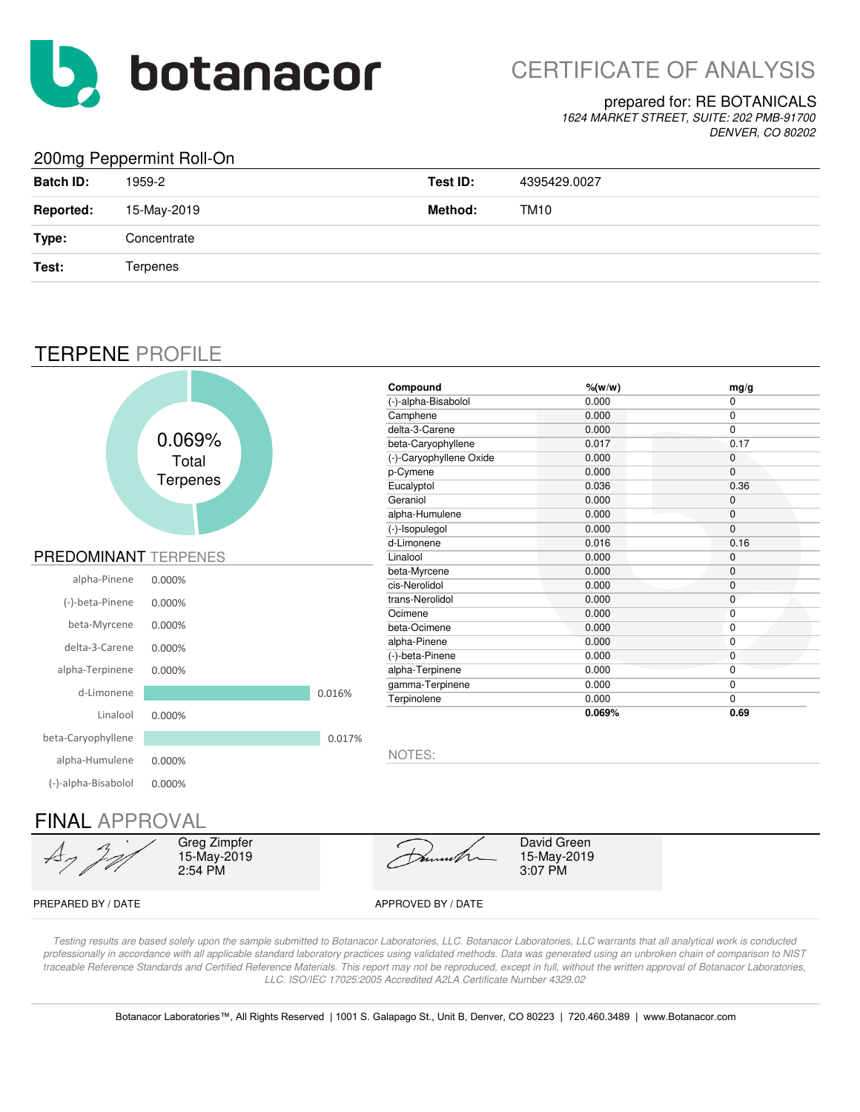

# CERTIFICATE OF ANALYSIS

### prepared for: RE BOTANICALS

*1624 MARKET STREET, SUITE: 202 PMB-91700 DENVER, CO 80202*

### 200mg Peppermint Roll-On

| <b>Batch ID:</b> | 1959-2      | Test ID: | 4395429.0027 |
|------------------|-------------|----------|--------------|
| <b>Reported:</b> | 15-May-2019 | Method:  | TM10         |
| Type:            | Concentrate |          |              |
| Test:            | Terpenes    |          |              |

## TERPENE PROFILE

|                             |                                        |        | Compound                | $%$ (w/w)                             | mg/g           |
|-----------------------------|----------------------------------------|--------|-------------------------|---------------------------------------|----------------|
|                             |                                        |        | (-)-alpha-Bisabolol     | 0.000                                 | $\mathbf 0$    |
|                             |                                        |        | Camphene                | 0.000                                 | 0              |
|                             |                                        |        | delta-3-Carene          | 0.000                                 | 0              |
|                             | 0.069%                                 |        | beta-Caryophyllene      | 0.017                                 | 0.17           |
|                             | Total                                  |        | (-)-Caryophyllene Oxide | 0.000                                 | 0              |
|                             |                                        |        | p-Cymene                | 0.000                                 | 0              |
|                             | <b>Terpenes</b>                        |        | Eucalyptol              | 0.036                                 | 0.36           |
|                             |                                        |        | Geraniol                | 0.000                                 | $\mathbf 0$    |
|                             |                                        |        | alpha-Humulene          | 0.000                                 | $\mathbf 0$    |
|                             |                                        |        | (-)-Isopulegol          | 0.000                                 | $\overline{0}$ |
|                             |                                        |        | d-Limonene              | 0.016                                 | 0.16           |
| <b>PREDOMINANT TERPENES</b> |                                        |        | Linalool                | 0.000                                 | $\mathbf{0}$   |
| alpha-Pinene                | 0.000%                                 |        | beta-Myrcene            | 0.000                                 | $\mathbf 0$    |
|                             |                                        |        | cis-Nerolidol           | 0.000                                 | $\mathbf 0$    |
| (-)-beta-Pinene             | 0.000%                                 |        | trans-Nerolidol         | 0.000                                 | $\mathbf 0$    |
|                             |                                        |        | Ocimene                 | 0.000                                 | $\mathbf{0}$   |
| beta-Myrcene                | 0.000%                                 |        | beta-Ocimene            | 0.000                                 | 0              |
| delta-3-Carene              | 0.000%                                 |        | alpha-Pinene            | 0.000                                 | $\mathbf 0$    |
|                             |                                        |        | (-)-beta-Pinene         | 0.000                                 | $\mathbf 0$    |
| alpha-Terpinene             | 0.000%                                 |        | alpha-Terpinene         | 0.000                                 | 0              |
| d-Limonene                  |                                        | 0.016% | gamma-Terpinene         | 0.000                                 | $\mathbf{0}$   |
|                             |                                        |        | Terpinolene             | 0.000                                 | $\mathbf 0$    |
| Linalool                    | 0.000%                                 |        |                         | 0.069%                                | 0.69           |
| beta-Caryophyllene          |                                        | 0.017% |                         |                                       |                |
| alpha-Humulene              | 0.000%                                 |        | NOTES:                  |                                       |                |
| (-)-alpha-Bisabolol         | 0.000%                                 |        |                         |                                       |                |
|                             |                                        |        |                         |                                       |                |
| <b>FINAL APPROVAL</b>       |                                        |        |                         |                                       |                |
|                             | Greg Zimpfer<br>15-May-2019<br>2:54 PM |        | umu                     | David Green<br>15-May-2019<br>3:07 PM |                |

PREPARED BY / DATE APPROVED BY / DATE

*Testing results are based solely upon the sample submitted to Botanacor Laboratories, LLC. Botanacor Laboratories, LLC warrants that all analytical work is conducted professionally in accordance with all applicable standard laboratory practices using validated methods. Data was generated using an unbroken chain of comparison to NIST*  traceable Reference Standards and Certified Reference Materials. This report may not be reproduced, except in full, without the written approval of Botanacor Laboratories, *LLC. ISO/IEC 17025:2005 Accredited A2LA Certificate Number 4329.02*

Botanacor Laboratories™, All Rights Reserved | 1001 S. Galapago St., Unit B, Denver, CO 80223 | 720.460.3489 | www.Botanacor.com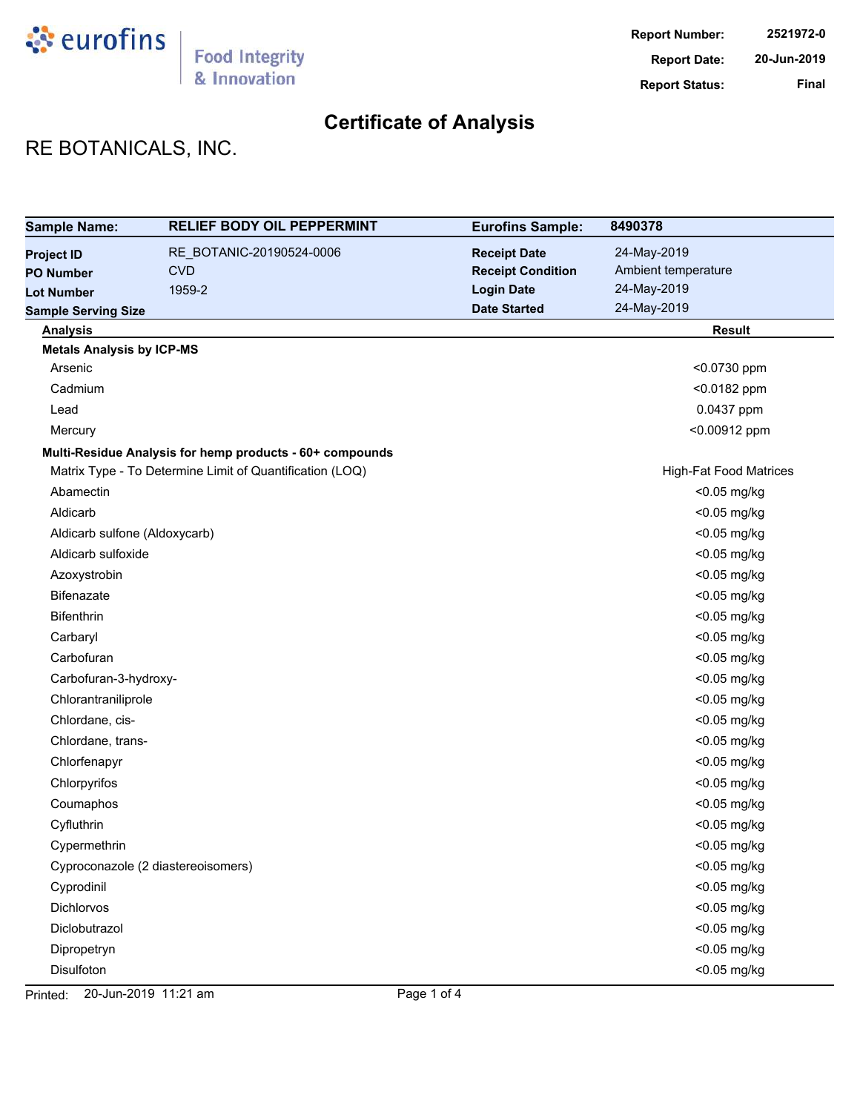

# **Certificate of Analysis**

# RE BOTANICALS, INC.

| <b>Sample Name:</b>              | <b>RELIEF BODY OIL PEPPERMINT</b>                        | <b>Eurofins Sample:</b>  | 8490378                       |
|----------------------------------|----------------------------------------------------------|--------------------------|-------------------------------|
| <b>Project ID</b>                | RE_BOTANIC-20190524-0006                                 | <b>Receipt Date</b>      | 24-May-2019                   |
| <b>PO Number</b>                 | <b>CVD</b>                                               | <b>Receipt Condition</b> | Ambient temperature           |
| <b>Lot Number</b>                | 1959-2                                                   | <b>Login Date</b>        | 24-May-2019                   |
| <b>Sample Serving Size</b>       |                                                          | <b>Date Started</b>      | 24-May-2019                   |
| <b>Analysis</b>                  |                                                          |                          | <b>Result</b>                 |
| <b>Metals Analysis by ICP-MS</b> |                                                          |                          |                               |
| Arsenic                          |                                                          |                          | <0.0730 ppm                   |
| Cadmium                          |                                                          |                          | <0.0182 ppm                   |
| Lead                             |                                                          |                          | 0.0437 ppm                    |
| Mercury                          |                                                          |                          | <0.00912 ppm                  |
|                                  | Multi-Residue Analysis for hemp products - 60+ compounds |                          |                               |
|                                  | Matrix Type - To Determine Limit of Quantification (LOQ) |                          | <b>High-Fat Food Matrices</b> |
| Abamectin                        |                                                          |                          | <0.05 mg/kg                   |
| Aldicarb                         |                                                          |                          | <0.05 mg/kg                   |
| Aldicarb sulfone (Aldoxycarb)    |                                                          |                          | <0.05 mg/kg                   |
| Aldicarb sulfoxide               |                                                          |                          | <0.05 mg/kg                   |
| Azoxystrobin                     |                                                          |                          | <0.05 mg/kg                   |
| <b>Bifenazate</b>                |                                                          |                          | <0.05 mg/kg                   |
| <b>Bifenthrin</b>                |                                                          |                          | <0.05 mg/kg                   |
| Carbaryl                         |                                                          |                          | <0.05 mg/kg                   |
| Carbofuran                       |                                                          |                          | <0.05 mg/kg                   |
| Carbofuran-3-hydroxy-            |                                                          |                          | <0.05 mg/kg                   |
| Chlorantraniliprole              |                                                          |                          | <0.05 mg/kg                   |
| Chlordane, cis-                  |                                                          |                          | <0.05 mg/kg                   |
| Chlordane, trans-                |                                                          |                          | <0.05 mg/kg                   |
| Chlorfenapyr                     |                                                          |                          | <0.05 mg/kg                   |
| Chlorpyrifos                     |                                                          |                          | <0.05 mg/kg                   |
| Coumaphos                        |                                                          |                          | <0.05 mg/kg                   |
| Cyfluthrin                       |                                                          |                          | <0.05 mg/kg                   |
| Cypermethrin                     |                                                          |                          | <0.05 mg/kg                   |
|                                  | Cyproconazole (2 diastereoisomers)                       |                          | <0.05 mg/kg                   |
| Cyprodinil                       |                                                          |                          | <0.05 mg/kg                   |
| Dichlorvos                       |                                                          |                          | <0.05 mg/kg                   |
| Diclobutrazol                    |                                                          |                          | $<$ 0.05 mg/kg                |
| Dipropetryn                      |                                                          |                          | <0.05 mg/kg                   |
| Disulfoton                       |                                                          |                          | <0.05 mg/kg                   |

Printed: 20-Jun-2019 11:21 am Page 1 of 4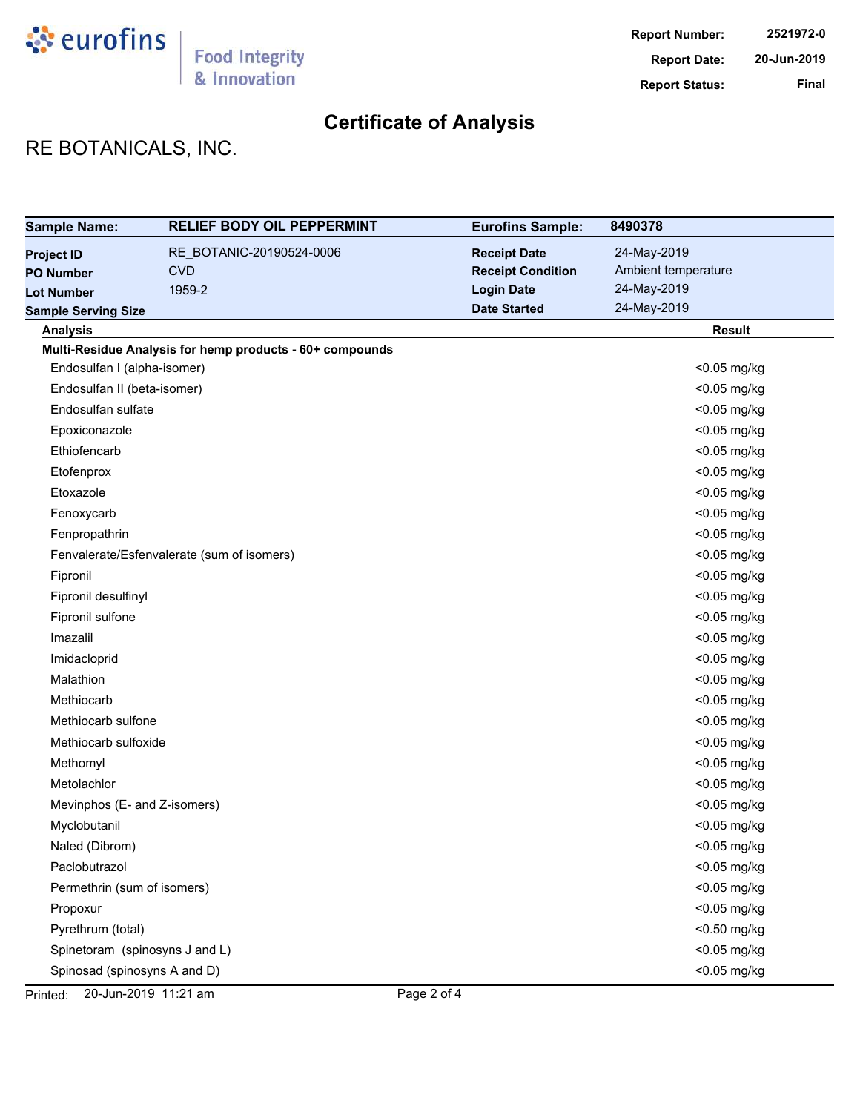

# **Certificate of Analysis**

# RE BOTANICALS, INC.

| <b>Sample Name:</b>            | <b>RELIEF BODY OIL PEPPERMINT</b>                        | <b>Eurofins Sample:</b>  | 8490378             |
|--------------------------------|----------------------------------------------------------|--------------------------|---------------------|
| <b>Project ID</b>              | RE_BOTANIC-20190524-0006                                 | <b>Receipt Date</b>      | 24-May-2019         |
| <b>PO Number</b>               | <b>CVD</b>                                               | <b>Receipt Condition</b> | Ambient temperature |
| <b>Lot Number</b>              | 1959-2                                                   | <b>Login Date</b>        | 24-May-2019         |
| <b>Sample Serving Size</b>     |                                                          | <b>Date Started</b>      | 24-May-2019         |
| <b>Analysis</b>                |                                                          |                          | <b>Result</b>       |
|                                | Multi-Residue Analysis for hemp products - 60+ compounds |                          |                     |
| Endosulfan I (alpha-isomer)    |                                                          |                          | <0.05 mg/kg         |
| Endosulfan II (beta-isomer)    |                                                          |                          | <0.05 mg/kg         |
| Endosulfan sulfate             |                                                          |                          | <0.05 mg/kg         |
| Epoxiconazole                  |                                                          |                          | <0.05 mg/kg         |
| Ethiofencarb                   |                                                          |                          | <0.05 mg/kg         |
| Etofenprox                     |                                                          |                          | <0.05 mg/kg         |
| Etoxazole                      |                                                          |                          | <0.05 mg/kg         |
| Fenoxycarb                     |                                                          |                          | <0.05 mg/kg         |
| Fenpropathrin                  |                                                          |                          | <0.05 mg/kg         |
|                                | Fenvalerate/Esfenvalerate (sum of isomers)               |                          | <0.05 mg/kg         |
| Fipronil                       |                                                          |                          | <0.05 mg/kg         |
| Fipronil desulfinyl            |                                                          |                          | <0.05 mg/kg         |
| Fipronil sulfone               |                                                          |                          | <0.05 mg/kg         |
| Imazalil                       |                                                          |                          | <0.05 mg/kg         |
| Imidacloprid                   |                                                          |                          | <0.05 mg/kg         |
| Malathion                      |                                                          |                          | <0.05 mg/kg         |
| Methiocarb                     |                                                          |                          | <0.05 mg/kg         |
| Methiocarb sulfone             |                                                          |                          | <0.05 mg/kg         |
| Methiocarb sulfoxide           |                                                          |                          | <0.05 mg/kg         |
| Methomyl                       |                                                          |                          | <0.05 mg/kg         |
| Metolachlor                    |                                                          |                          | <0.05 mg/kg         |
| Mevinphos (E- and Z-isomers)   |                                                          |                          | <0.05 mg/kg         |
| Myclobutanil                   |                                                          |                          | <0.05 mg/kg         |
| Naled (Dibrom)                 |                                                          |                          | <0.05 mg/kg         |
| Paclobutrazol                  |                                                          |                          | <0.05 mg/kg         |
| Permethrin (sum of isomers)    |                                                          |                          | <0.05 mg/kg         |
| Propoxur                       |                                                          |                          | <0.05 mg/kg         |
| Pyrethrum (total)              |                                                          |                          | <0.50 mg/kg         |
| Spinetoram (spinosyns J and L) |                                                          |                          | <0.05 mg/kg         |
| Spinosad (spinosyns A and D)   |                                                          |                          | <0.05 mg/kg         |

Printed: 20-Jun-2019 11:21 am Page 2 of 4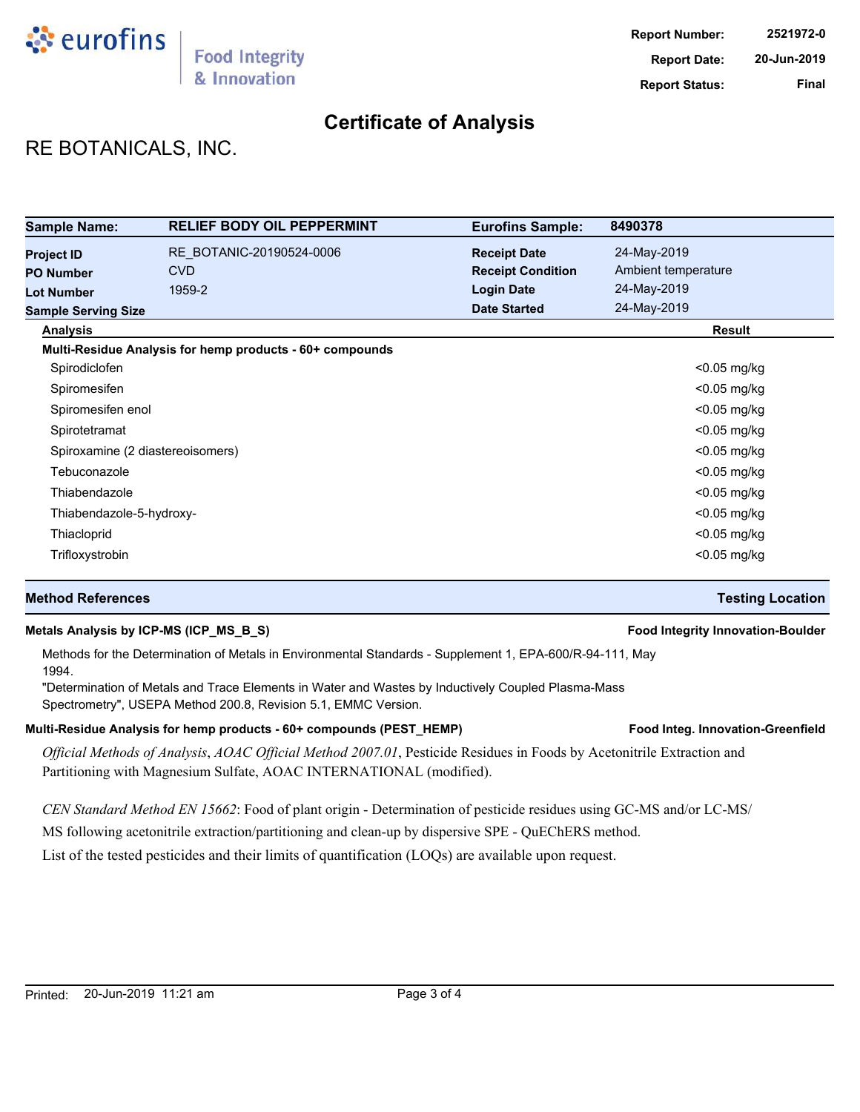

# **Certificate of Analysis**

# RE BOTANICALS, INC.

| <b>Sample Name:</b>                                        | <b>RELIEF BODY OIL PEPPERMINT</b>                        | <b>Eurofins Sample:</b>                                              | 8490378                                           |
|------------------------------------------------------------|----------------------------------------------------------|----------------------------------------------------------------------|---------------------------------------------------|
| <b>Project ID</b><br><b>PO Number</b><br><b>Lot Number</b> | RE BOTANIC-20190524-0006<br><b>CVD</b><br>1959-2         | <b>Receipt Date</b><br><b>Receipt Condition</b><br><b>Login Date</b> | 24-May-2019<br>Ambient temperature<br>24-May-2019 |
| <b>Sample Serving Size</b>                                 |                                                          | <b>Date Started</b>                                                  | 24-May-2019                                       |
| <b>Analysis</b>                                            |                                                          |                                                                      | Result                                            |
|                                                            | Multi-Residue Analysis for hemp products - 60+ compounds |                                                                      |                                                   |
| Spirodiclofen                                              |                                                          |                                                                      | $<$ 0.05 mg/kg                                    |
| Spiromesifen                                               |                                                          |                                                                      | <0.05 mg/kg                                       |
| Spiromesifen enol                                          |                                                          |                                                                      | $<$ 0.05 mg/kg                                    |
| Spirotetramat                                              |                                                          |                                                                      | $<$ 0.05 mg/kg                                    |
|                                                            | Spiroxamine (2 diastereoisomers)                         |                                                                      | $<$ 0.05 mg/kg                                    |
| Tebuconazole                                               |                                                          |                                                                      | $<$ 0.05 mg/kg                                    |
| Thiabendazole                                              |                                                          |                                                                      | $<$ 0.05 mg/kg                                    |
| Thiabendazole-5-hydroxy-                                   |                                                          |                                                                      | $<$ 0.05 mg/kg                                    |
| Thiacloprid                                                |                                                          |                                                                      | <0.05 mg/kg                                       |
| Trifloxystrobin                                            |                                                          |                                                                      | <0.05 mg/kg                                       |

#### **Method References Testing Location**

#### **Metals Analysis by ICP-MS (ICP\_MS\_B\_S) Food Integrity Innovation-Boulder**

Methods for the Determination of Metals in Environmental Standards - Supplement 1, EPA-600/R-94-111, May 1994.

"Determination of Metals and Trace Elements in Water and Wastes by Inductively Coupled Plasma-Mass Spectrometry", USEPA Method 200.8, Revision 5.1, EMMC Version.

#### Multi-Residue Analysis for hemp products - 60+ compounds (PEST\_HEMP) **Food Integ. Innovation-Greenfield**

*Official Methods of Analysis*, *AOAC Official Method 2007.01*, Pesticide Residues in Foods by Acetonitrile Extraction and Partitioning with Magnesium Sulfate, AOAC INTERNATIONAL (modified).

*CEN Standard Method EN 15662*: Food of plant origin - Determination of pesticide residues using GC-MS and/or LC-MS/

MS following acetonitrile extraction/partitioning and clean-up by dispersive SPE - QuEChERS method.

List of the tested pesticides and their limits of quantification (LOQs) are available upon request.